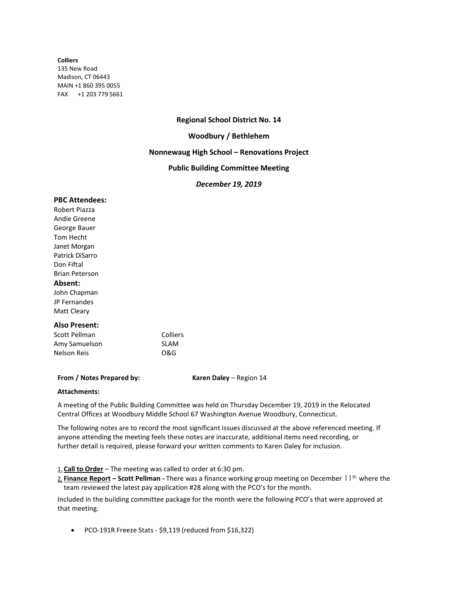#### **Colliers**

135 New Road Madison, CT 06443 MAIN +1 860 395 0055 FAX +1 203 779 5661

# **Regional School District No. 14**

## **Woodbury / Bethlehem**

## **Nonnewaug High School – Renovations Project**

# **Public Building Committee Meeting**

## *December 19, 2019*

#### **PBC Attendees:**

Robert Piazza Andie Greene George Bauer Tom Hecht Janet Morgan Patrick DiSarro Don Fiftal Brian Peterson **Absent:** John Chapman JP Fernandes Matt Cleary

### **Also Present:**

Scott Pellman Colliers Amy Samuelson SLAM Nelson Reis O&G

### **From / Notes Prepared by: Karen Daley – Region 14**

### **Attachments:**

A meeting of the Public Building Committee was held on Thursday December 19, 2019 in the Relocated Central Offices at Woodbury Middle School 67 Washington Avenue Woodbury, Connecticut.

The following notes are to record the most significant issues discussed at the above referenced meeting. If anyone attending the meeting feels these notes are inaccurate, additional items need recording, or further detail is required, please forward your written comments to Karen Daley for inclusion.

1. **Call to Order** – The meeting was called to order at 6:30 pm.

2. **Finance Report – Scott Pellman** - There was a finance working group meeting on December 11<sup>th</sup> where the team reviewed the latest pay application #28 along with the PCO's for the month.

Included in the building committee package for the month were the following PCO's that were approved at that meeting.

• PCO-191R Freeze Stats - \$9,119 (reduced from \$16,322)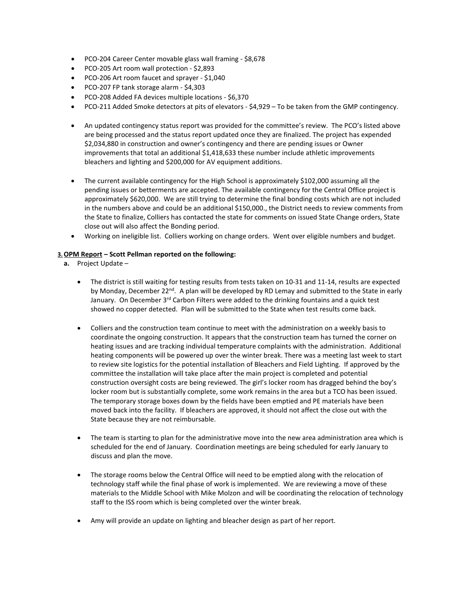- PCO-204 Career Center movable glass wall framing \$8,678
- PCO-205 Art room wall protection \$2,893
- PCO-206 Art room faucet and sprayer \$1,040
- PCO-207 FP tank storage alarm \$4,303
- PCO-208 Added FA devices multiple locations \$6,370
- PCO-211 Added Smoke detectors at pits of elevators \$4,929 To be taken from the GMP contingency.
- An updated contingency status report was provided for the committee's review. The PCO's listed above are being processed and the status report updated once they are finalized. The project has expended \$2,034,880 in construction and owner's contingency and there are pending issues or Owner improvements that total an additional \$1,418,633 these number include athletic improvements bleachers and lighting and \$200,000 for AV equipment additions.
- The current available contingency for the High School is approximately \$102,000 assuming all the pending issues or betterments are accepted. The available contingency for the Central Office project is approximately \$620,000. We are still trying to determine the final bonding costs which are not included in the numbers above and could be an additional \$150,000., the District needs to review comments from the State to finalize, Colliers has contacted the state for comments on issued State Change orders, State close out will also affect the Bonding period.
- Working on ineligible list. Colliers working on change orders. Went over eligible numbers and budget.

## **3.OPM Report – Scott Pellman reported on the following:**

- **a.** Project Update
	- The district is still waiting for testing results from tests taken on 10-31 and 11-14, results are expected by Monday, December 22<sup>nd</sup>. A plan will be developed by RD Lemay and submitted to the State in early January. On December 3<sup>rd</sup> Carbon Filters were added to the drinking fountains and a quick test showed no copper detected. Plan will be submitted to the State when test results come back.
	- Colliers and the construction team continue to meet with the administration on a weekly basis to coordinate the ongoing construction. It appears that the construction team has turned the corner on heating issues and are tracking individual temperature complaints with the administration. Additional heating components will be powered up over the winter break. There was a meeting last week to start to review site logistics for the potential installation of Bleachers and Field Lighting. If approved by the committee the installation will take place after the main project is completed and potential construction oversight costs are being reviewed. The girl's locker room has dragged behind the boy's locker room but is substantially complete, some work remains in the area but a TCO has been issued. The temporary storage boxes down by the fields have been emptied and PE materials have been moved back into the facility. If bleachers are approved, it should not affect the close out with the State because they are not reimbursable.
	- The team is starting to plan for the administrative move into the new area administration area which is scheduled for the end of January. Coordination meetings are being scheduled for early January to discuss and plan the move.
	- The storage rooms below the Central Office will need to be emptied along with the relocation of technology staff while the final phase of work is implemented. We are reviewing a move of these materials to the Middle School with Mike Molzon and will be coordinating the relocation of technology staff to the ISS room which is being completed over the winter break.
	- Amy will provide an update on lighting and bleacher design as part of her report.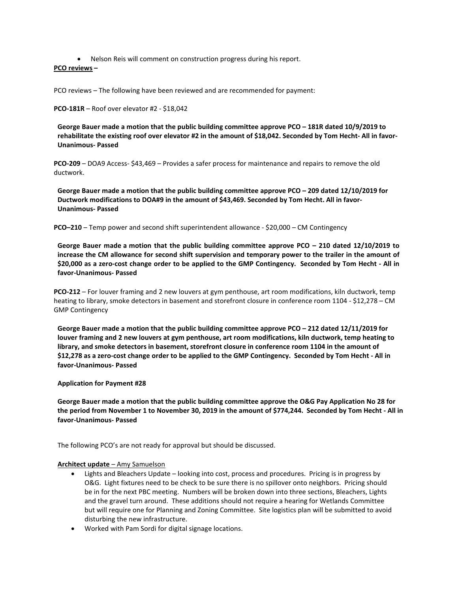• Nelson Reis will comment on construction progress during his report.

## **PCO reviews –**

PCO reviews – The following have been reviewed and are recommended for payment:

**PCO-181R** – Roof over elevator #2 - \$18,042

**George Bauer made a motion that the public building committee approve PCO – 181R dated 10/9/2019 to rehabilitate the existing roof over elevator #2 in the amount of \$18,042. Seconded by Tom Hecht- All in favor-Unanimous- Passed**

**PCO-209** – DOA9 Access- \$43,469 – Provides a safer process for maintenance and repairs to remove the old ductwork.

**George Bauer made a motion that the public building committee approve PCO – 209 dated 12/10/2019 for Ductwork modifications to DOA#9 in the amount of \$43,469. Seconded by Tom Hecht. All in favor-Unanimous- Passed**

**PCO-210** – Temp power and second shift superintendent allowance - \$20,000 – CM Contingency

**George Bauer made a motion that the public building committee approve PCO – 210 dated 12/10/2019 to increase the CM allowance for second shift supervision and temporary power to the trailer in the amount of \$20,000 as a zero-cost change order to be applied to the GMP Contingency. Seconded by Tom Hecht - All in favor-Unanimous- Passed**

**PCO-212** – For louver framing and 2 new louvers at gym penthouse, art room modifications, kiln ductwork, temp heating to library, smoke detectors in basement and storefront closure in conference room 1104 - \$12,278 – CM GMP Contingency

**George Bauer made a motion that the public building committee approve PCO – 212 dated 12/11/2019 for louver framing and 2 new louvers at gym penthouse, art room modifications, kiln ductwork, temp heating to library, and smoke detectors in basement, storefront closure in conference room 1104 in the amount of \$12,278 as a zero-cost change order to be applied to the GMP Contingency. Seconded by Tom Hecht - All in favor-Unanimous- Passed**

### **Application for Payment #28**

**George Bauer made a motion that the public building committee approve the O&G Pay Application No 28 for the period from November 1 to November 30, 2019 in the amount of \$774,244. Seconded by Tom Hecht - All in favor-Unanimous- Passed**

The following PCO's are not ready for approval but should be discussed.

### **Architect update** – Amy Samuelson

- Lights and Bleachers Update looking into cost, process and procedures. Pricing is in progress by O&G. Light fixtures need to be check to be sure there is no spillover onto neighbors. Pricing should be in for the next PBC meeting. Numbers will be broken down into three sections, Bleachers, Lights and the gravel turn around. These additions should not require a hearing for Wetlands Committee but will require one for Planning and Zoning Committee. Site logistics plan will be submitted to avoid disturbing the new infrastructure.
- Worked with Pam Sordi for digital signage locations.